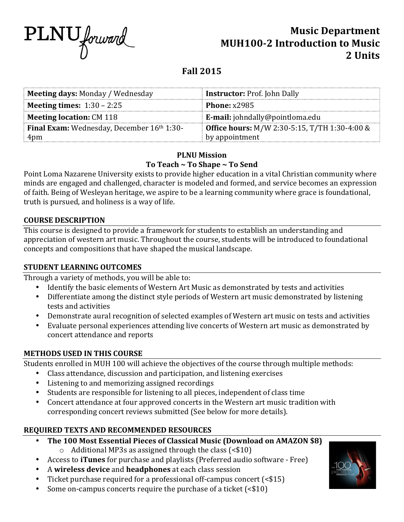

# **Music Department MUH100-2 Introduction to Music** 2. **Units**

# **Fall 2015**

| <b>Meeting days: Monday / Wednesday</b><br><b>Instructor: Prof. John Dally</b><br><b>Phone: x2985</b>     |                                     |  |  |
|-----------------------------------------------------------------------------------------------------------|-------------------------------------|--|--|
|                                                                                                           |                                     |  |  |
|                                                                                                           | <b>Meeting times:</b> $1:30 - 2:25$ |  |  |
| <b>Meeting location: CM 118</b><br>E-mail: johndally@pointloma.edu                                        |                                     |  |  |
| <b>Office hours:</b> M/W 2:30-5:15, T/TH 1:30-4:00 &<br><b>Final Exam:</b> Wednesday, December 16th 1:30- |                                     |  |  |
| by appointment<br>4pm                                                                                     |                                     |  |  |

# **PLNU Mission** To Teach ~ To Shape ~ To Send

Point Loma Nazarene University exists to provide higher education in a vital Christian community where minds are engaged and challenged, character is modeled and formed, and service becomes an expression of faith. Being of Wesleyan heritage, we aspire to be a learning community where grace is foundational, truth is pursued, and holiness is a way of life.

## **COURSE DESCRIPTION**

This course is designed to provide a framework for students to establish an understanding and appreciation of western art music. Throughout the course, students will be introduced to foundational concepts and compositions that have shaped the musical landscape.

# **STUDENT LEARNING OUTCOMES**

Through a variety of methods, you will be able to:

- Identify the basic elements of Western Art Music as demonstrated by tests and activities
- Differentiate among the distinct style periods of Western art music demonstrated by listening tests and activities
- Demonstrate aural recognition of selected examples of Western art music on tests and activities
- Evaluate personal experiences attending live concerts of Western art music as demonstrated by concert attendance and reports

# **METHODS USED IN THIS COURSE**

Students enrolled in MUH 100 will achieve the objectives of the course through multiple methods:

- Class attendance, discussion and participation, and listening exercises
- Listening to and memorizing assigned recordings
- Students are responsible for listening to all pieces, independent of class time
- Concert attendance at four approved concerts in the Western art music tradition with corresponding concert reviews submitted (See below for more details).

# **REQUIRED TEXTS AND RECOMMENDED RESOURCES**

- **The 100 Most Essential Pieces of Classical Music (Download on AMAZON \$8)** 
	- $\circ$  Additional MP3s as assigned through the class (<\$10)
- Access to *iTunes* for purchase and playlists (Preferred audio software Free)
- A **wireless device** and **headphones** at each class session
- Ticket purchase required for a professional off-campus concert  $\left( \text{&} 15 \right)$
- Some on-campus concerts require the purchase of a ticket  $(\leq 10)$

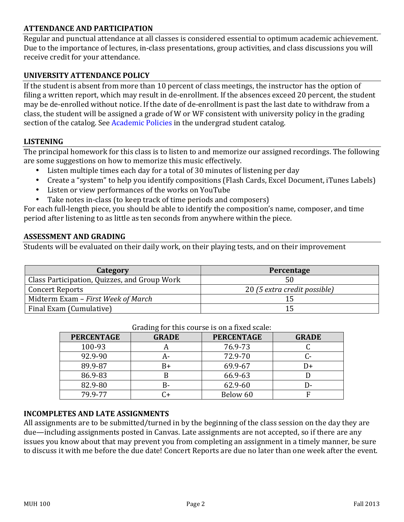# **ATTENDANCE AND PARTICIPATION**

Regular and punctual attendance at all classes is considered essential to optimum academic achievement. Due to the importance of lectures, in-class presentations, group activities, and class discussions you will receive credit for your attendance.

#### **UNIVERSITY ATTENDANCE POLICY**

If the student is absent from more than  $10$  percent of class meetings, the instructor has the option of filing a written report, which may result in de-enrollment. If the absences exceed 20 percent, the student may be de-enrolled without notice. If the date of de-enrollment is past the last date to withdraw from a class, the student will be assigned a grade of W or WF consistent with university policy in the grading section of the catalog. See Academic Policies in the undergrad student catalog.

#### **LISTENING**

The principal homework for this class is to listen to and memorize our assigned recordings. The following are some suggestions on how to memorize this music effectively.

- Listen multiple times each day for a total of 30 minutes of listening per day
- Create a "system" to help you identify compositions (Flash Cards, Excel Document, iTunes Labels)
- Listen or view performances of the works on YouTube
- Take notes in-class (to keep track of time periods and composers)

For each full-length piece, you should be able to identify the composition's name, composer, and time period after listening to as little as ten seconds from anywhere within the piece.

#### **ASSESSMENT AND GRADING**

Students will be evaluated on their daily work, on their playing tests, and on their improvement

| Category                                     | Percentage                   |  |
|----------------------------------------------|------------------------------|--|
| Class Participation, Quizzes, and Group Work |                              |  |
| <b>Concert Reports</b>                       | 20 (5 extra credit possible) |  |
| Midterm Exam - First Week of March           |                              |  |
| Final Exam (Cumulative)                      |                              |  |

| <b>PERCENTAGE</b> | <b>GRADE</b> | <b>PERCENTAGE</b> | <b>GRADE</b> |
|-------------------|--------------|-------------------|--------------|
| 100-93            |              | 76.9-73           |              |
| 92.9-90           |              | 72.9-70           |              |
| 89.9-87           | B+           | 69.9-67           | I)+          |
| 86.9-83           |              | 66.9-63           |              |
| 82.9-80           | B-           | 62.9-60           |              |
| 79.9-77           | 74           | Below 60          |              |

#### Grading for this course is on a fixed scale:

#### **INCOMPLETES AND LATE ASSIGNMENTS**

All assignments are to be submitted/turned in by the beginning of the class session on the day they are due—including assignments posted in Canvas. Late assignments are not accepted, so if there are any issues you know about that may prevent you from completing an assignment in a timely manner, be sure to discuss it with me before the due date! Concert Reports are due no later than one week after the event.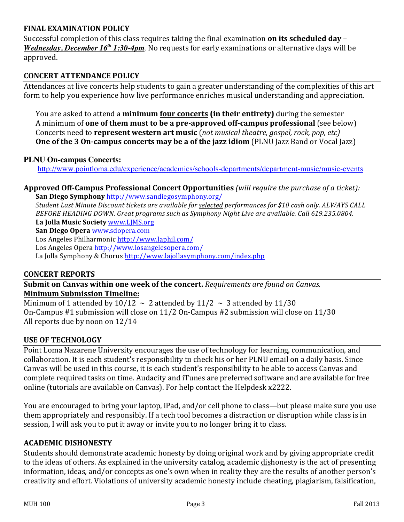#### **FINAL EXAMINATION POLICY**

Successful completion of this class requires taking the final examination on its scheduled day -*Wednesday, December 16<sup>th</sup> 1:30-4pm*. No requests for early examinations or alternative days will be approved.

## **CONCERT ATTENDANCE POLICY**

Attendances at live concerts help students to gain a greater understanding of the complexities of this art form to help you experience how live performance enriches musical understanding and appreciation.

You are asked to attend a **minimum four concerts (in their entirety)** during the semester A minimum of **one of them must to be a pre-approved off-campus professional** (see below) Concerts need to **represent western art music** (not musical theatre, gospel, rock, pop, etc) **One** of the 3 On-campus concerts may be a of the jazz idiom (PLNU Jazz Band or Vocal Jazz)

#### **PLNU On-campus Concerts:**

http://www.pointloma.edu/experience/academics/schools-departments/department-music/music-events

#### **Approved Off-Campus Professional Concert Opportunities** *(will require the purchase of a ticket):* **San Diego Symphony** http://www.sandiegosymphony.org/

*Student Last Minute Discount tickets are available for selected performances for \$10 cash only. ALWAYS CALL* BEFORE HEADING DOWN. Great programs such as Symphony Night Live are available. Call 619.235.0804. La Jolla Music Society www.LJMS.org

**San Diego Opera** www.sdopera.com

Los Angeles Philharmonic http://www.laphil.com/ Los Angeles Opera http://www.losangelesopera.com/ La Jolla Symphony & Chorus http://www.lajollasymphony.com/index.php

#### **CONCERT REPORTS**

**Submit on Canvas within one week of the concert.** Requirements are found on Canvas. **Minimum Submission Timeline:** 

Minimum of 1 attended by  $10/12 \sim 2$  attended by  $11/2 \sim 3$  attended by  $11/30$ On-Campus  $#1$  submission will close on  $11/2$  On-Campus  $#2$  submission will close on  $11/30$ All reports due by noon on  $12/14$ 

#### **USE OF TECHNOLOGY**

Point Loma Nazarene University encourages the use of technology for learning, communication, and collaboration. It is each student's responsibility to check his or her PLNU email on a daily basis. Since Canvas will be used in this course, it is each student's responsibility to be able to access Canvas and complete required tasks on time. Audacity and iTunes are preferred software and are available for free online (tutorials are available on Canvas). For help contact the Helpdesk x2222.

You are encouraged to bring your laptop, iPad, and/or cell phone to class—but please make sure you use them appropriately and responsibly. If a tech tool becomes a distraction or disruption while class is in session, I will ask you to put it away or invite you to no longer bring it to class.

#### **ACADEMIC DISHONESTY**

Students should demonstrate academic honesty by doing original work and by giving appropriate credit to the ideas of others. As explained in the university catalog, academic dishonesty is the act of presenting information, ideas, and/or concepts as one's own when in reality they are the results of another person's creativity and effort. Violations of university academic honesty include cheating, plagiarism, falsification,